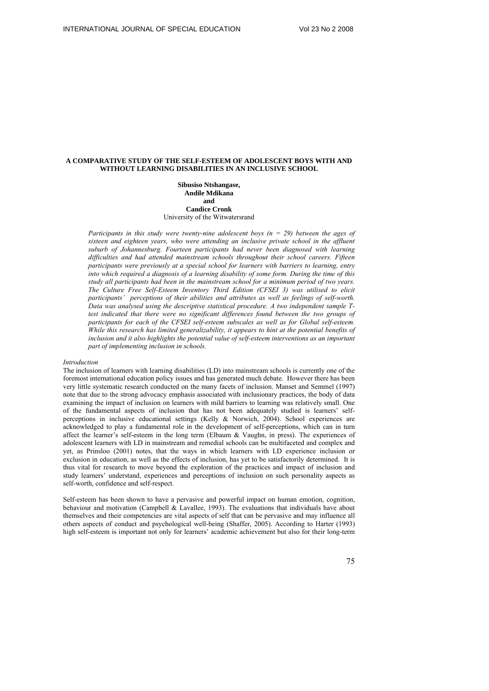# **A COMPARATIVE STUDY OF THE SELF-ESTEEM OF ADOLESCENT BOYS WITH AND WITHOUT LEARNING DISABILITIES IN AN INCLUSIVE SCHOOL**

**Sibusiso Ntshangase, Andile Mdikana and Candice Cronk**  University of the Witwatersrand

*Participants in this study were twenty-nine adolescent boys*  $(n = 29)$  *between the ages of sixteen and eighteen years, who were attending an inclusive private school in the affluent suburb of Johannesburg. Fourteen participants had never been diagnosed with learning difficulties and had attended mainstream schools throughout their school careers. Fifteen participants were previously at a special school for learners with barriers to learning, entry into which required a diagnosis of a learning disability of some form. During the time of this study all participants had been in the mainstream school for a minimum period of two years. The Culture Free Self-Esteem Inventory Third Edition (CFSEI 3) was utilised to elicit participants' perceptions of their abilities and attributes as well as feelings of self-worth. Data was analysed using the descriptive statistical procedure. A two independent sample T*test indicated that there were no significant differences found between the two groups of *participants for each of the CFSEI self-esteem subscales as well as for Global self-esteem. While this research has limited generalizability, it appears to hint at the potential benefits of inclusion and it also highlights the potential value of self-esteem interventions as an important part of implementing inclusion in schools.* 

### *Introduction*

The inclusion of learners with learning disabilities (LD) into mainstream schools is currently one of the foremost international education policy issues and has generated much debate. However there has been very little systematic research conducted on the many facets of inclusion. Manset and Semmel (1997) note that due to the strong advocacy emphasis associated with inclusionary practices, the body of data examining the impact of inclusion on learners with mild barriers to learning was relatively small. One of the fundamental aspects of inclusion that has not been adequately studied is learners' selfperceptions in inclusive educational settings (Kelly & Norwich, 2004). School experiences are acknowledged to play a fundamental role in the development of self-perceptions, which can in turn affect the learner's self-esteem in the long term (Elbaum & Vaughn, in press). The experiences of adolescent learners with LD in mainstream and remedial schools can be multifaceted and complex and yet, as Prinsloo (2001) notes, that the ways in which learners with LD experience inclusion or exclusion in education, as well as the effects of inclusion, has yet to be satisfactorily determined. It is thus vital for research to move beyond the exploration of the practices and impact of inclusion and study learners' understand, experiences and perceptions of inclusion on such personality aspects as self-worth, confidence and self-respect.

Self-esteem has been shown to have a pervasive and powerful impact on human emotion, cognition, behaviour and motivation (Campbell & Lavallee, 1993). The evaluations that individuals have about themselves and their competencies are vital aspects of self that can be pervasive and may influence all others aspects of conduct and psychological well-being (Shaffer, 2005). According to Harter (1993) high self-esteem is important not only for learners' academic achievement but also for their long-term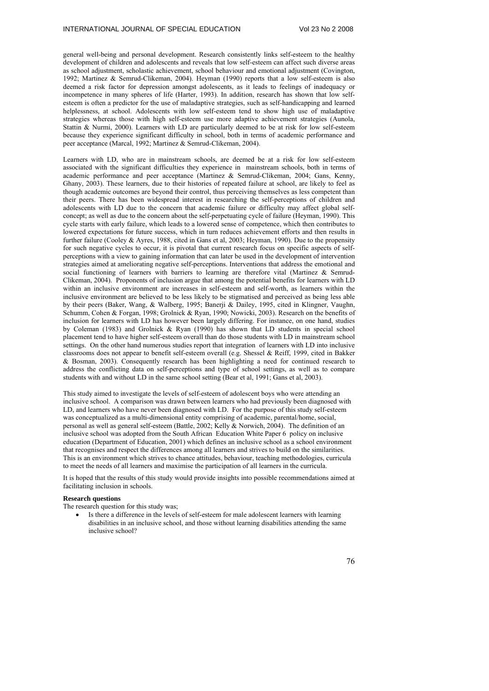general well-being and personal development. Research consistently links self-esteem to the healthy development of children and adolescents and reveals that low self-esteem can affect such diverse areas as school adjustment, scholastic achievement, school behaviour and emotional adjustment (Covington, 1992; Martinez & Semrud-Clikeman, 2004). Heyman (1990) reports that a low self-esteem is also deemed a risk factor for depression amongst adolescents, as it leads to feelings of inadequacy or incompetence in many spheres of life (Harter, 1993). In addition, research has shown that low selfesteem is often a predictor for the use of maladaptive strategies, such as self-handicapping and learned helplessness, at school. Adolescents with low self-esteem tend to show high use of maladaptive strategies whereas those with high self-esteem use more adaptive achievement strategies (Aunola, Stattin & Nurmi, 2000). Learners with LD are particularly deemed to be at risk for low self-esteem because they experience significant difficulty in school, both in terms of academic performance and peer acceptance (Marcal, 1992; Martinez & Semrud-Clikeman, 2004).

Learners with LD, who are in mainstream schools, are deemed be at a risk for low self-esteem associated with the significant difficulties they experience in mainstream schools, both in terms of academic performance and peer acceptance (Martinez & Semrud-Clikeman, 2004; Gans, Kenny, Ghany, 2003). These learners, due to their histories of repeated failure at school, are likely to feel as though academic outcomes are beyond their control, thus perceiving themselves as less competent than their peers. There has been widespread interest in researching the self-perceptions of children and adolescents with LD due to the concern that academic failure or difficulty may affect global selfconcept; as well as due to the concern about the self-perpetuating cycle of failure (Heyman, 1990). This cycle starts with early failure, which leads to a lowered sense of competence, which then contributes to lowered expectations for future success, which in turn reduces achievement efforts and then results in further failure (Cooley & Ayres, 1988, cited in Gans et al, 2003; Heyman, 1990). Due to the propensity for such negative cycles to occur, it is pivotal that current research focus on specific aspects of selfperceptions with a view to gaining information that can later be used in the development of intervention strategies aimed at ameliorating negative self-perceptions. Interventions that address the emotional and social functioning of learners with barriers to learning are therefore vital (Martinez & Semrud-Clikeman, 2004). Proponents of inclusion argue that among the potential benefits for learners with LD within an inclusive environment are increases in self-esteem and self-worth, as learners within the inclusive environment are believed to be less likely to be stigmatised and perceived as being less able by their peers (Baker, Wang, & Walberg, 1995; Banerji & Dailey, 1995, cited in Klingner, Vaughn, Schumm, Cohen & Forgan, 1998; Grolnick & Ryan, 1990; Nowicki, 2003). Research on the benefits of inclusion for learners with LD has however been largely differing. For instance, on one hand, studies by Coleman (1983) and Grolnick & Ryan (1990) has shown that LD students in special school placement tend to have higher self-esteem overall than do those students with LD in mainstream school settings. On the other hand numerous studies report that integration of learners with LD into inclusive classrooms does not appear to benefit self-esteem overall (e.g. Shessel & Reiff, 1999, cited in Bakker & Bosman, 2003). Consequently research has been highlighting a need for continued research to address the conflicting data on self-perceptions and type of school settings, as well as to compare students with and without LD in the same school setting (Bear et al, 1991; Gans et al, 2003).

This study aimed to investigate the levels of self-esteem of adolescent boys who were attending an inclusive school. A comparison was drawn between learners who had previously been diagnosed with LD, and learners who have never been diagnosed with LD. For the purpose of this study self-esteem was conceptualized as a multi-dimensional entity comprising of academic, parental/home, social, personal as well as general self-esteem (Battle, 2002; Kelly & Norwich, 2004). The definition of an inclusive school was adopted from the South African Education White Paper 6 policy on inclusive education (Department of Education, 2001) which defines an inclusive school as a school environment that recognises and respect the differences among all learners and strives to build on the similarities. This is an environment which strives to chance attitudes, behaviour, teaching methodologies, curricula to meet the needs of all learners and maximise the participation of all learners in the curricula.

It is hoped that the results of this study would provide insights into possible recommendations aimed at facilitating inclusion in schools.

# **Research questions**

The research question for this study was;

• Is there a difference in the levels of self-esteem for male adolescent learners with learning disabilities in an inclusive school, and those without learning disabilities attending the same inclusive school?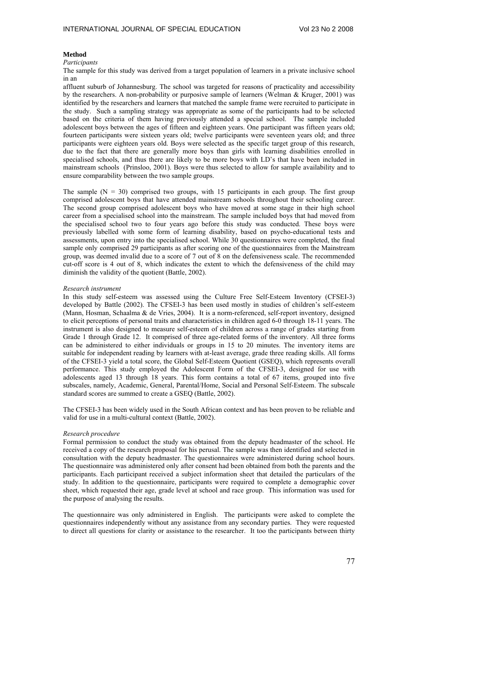## **Method**

# *Participants*

The sample for this study was derived from a target population of learners in a private inclusive school in an

affluent suburb of Johannesburg. The school was targeted for reasons of practicality and accessibility by the researchers. A non-probability or purposive sample of learners (Welman & Kruger, 2001) was identified by the researchers and learners that matched the sample frame were recruited to participate in the study. Such a sampling strategy was appropriate as some of the participants had to be selected based on the criteria of them having previously attended a special school. The sample included adolescent boys between the ages of fifteen and eighteen years. One participant was fifteen years old; fourteen participants were sixteen years old; twelve participants were seventeen years old; and three participants were eighteen years old. Boys were selected as the specific target group of this research, due to the fact that there are generally more boys than girls with learning disabilities enrolled in specialised schools, and thus there are likely to be more boys with LD's that have been included in mainstream schools (Prinsloo, 2001). Boys were thus selected to allow for sample availability and to ensure comparability between the two sample groups.

The sample  $(N = 30)$  comprised two groups, with 15 participants in each group. The first group comprised adolescent boys that have attended mainstream schools throughout their schooling career. The second group comprised adolescent boys who have moved at some stage in their high school career from a specialised school into the mainstream. The sample included boys that had moved from the specialised school two to four years ago before this study was conducted. These boys were previously labelled with some form of learning disability, based on psycho-educational tests and assessments, upon entry into the specialised school. While 30 questionnaires were completed, the final sample only comprised 29 participants as after scoring one of the questionnaires from the Mainstream group, was deemed invalid due to a score of 7 out of 8 on the defensiveness scale. The recommended cut-off score is 4 out of 8, which indicates the extent to which the defensiveness of the child may diminish the validity of the quotient (Battle, 2002).

### *Research instrument*

In this study self-esteem was assessed using the Culture Free Self-Esteem Inventory (CFSEI-3) developed by Battle (2002). The CFSEI-3 has been used mostly in studies of children's self-esteem (Mann, Hosman, Schaalma & de Vries, 2004). It is a norm-referenced, self-report inventory, designed to elicit perceptions of personal traits and characteristics in children aged 6-0 through 18-11 years. The instrument is also designed to measure self-esteem of children across a range of grades starting from Grade 1 through Grade 12. It comprised of three age-related forms of the inventory. All three forms can be administered to either individuals or groups in 15 to 20 minutes. The inventory items are suitable for independent reading by learners with at-least average, grade three reading skills. All forms of the CFSEI-3 yield a total score, the Global Self-Esteem Quotient (GSEQ), which represents overall performance. This study employed the Adolescent Form of the CFSEI-3, designed for use with adolescents aged 13 through 18 years. This form contains a total of 67 items, grouped into five subscales, namely, Academic, General, Parental/Home, Social and Personal Self-Esteem. The subscale standard scores are summed to create a GSEQ (Battle, 2002).

The CFSEI-3 has been widely used in the South African context and has been proven to be reliable and valid for use in a multi-cultural context (Battle, 2002).

## *Research procedure*

Formal permission to conduct the study was obtained from the deputy headmaster of the school. He received a copy of the research proposal for his perusal. The sample was then identified and selected in consultation with the deputy headmaster. The questionnaires were administered during school hours. The questionnaire was administered only after consent had been obtained from both the parents and the participants. Each participant received a subject information sheet that detailed the particulars of the study. In addition to the questionnaire, participants were required to complete a demographic cover sheet, which requested their age, grade level at school and race group. This information was used for the purpose of analysing the results.

The questionnaire was only administered in English. The participants were asked to complete the questionnaires independently without any assistance from any secondary parties. They were requested to direct all questions for clarity or assistance to the researcher. It too the participants between thirty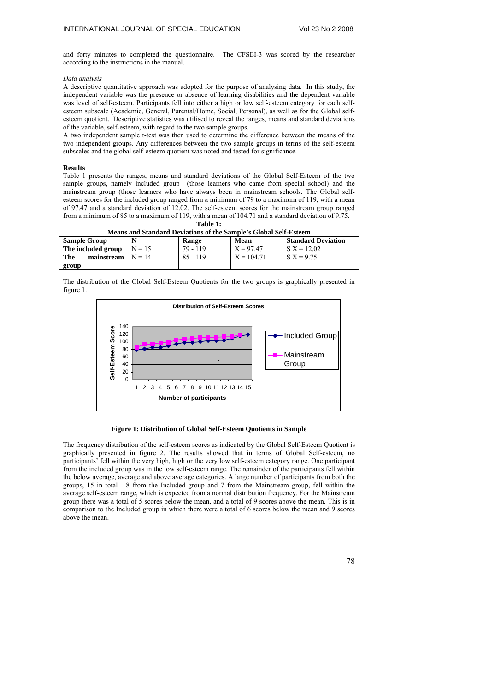and forty minutes to completed the questionnaire. The CFSEI-3 was scored by the researcher according to the instructions in the manual.

### *Data analysis*

A descriptive quantitative approach was adopted for the purpose of analysing data. In this study, the independent variable was the presence or absence of learning disabilities and the dependent variable was level of self-esteem. Participants fell into either a high or low self-esteem category for each selfesteem subscale (Academic, General, Parental/Home, Social, Personal), as well as for the Global selfesteem quotient. Descriptive statistics was utilised to reveal the ranges, means and standard deviations of the variable, self-esteem, with regard to the two sample groups.

A two independent sample t-test was then used to determine the difference between the means of the two independent groups. Any differences between the two sample groups in terms of the self-esteem subscales and the global self-esteem quotient was noted and tested for significance.

## **Results**

Table 1 presents the ranges, means and standard deviations of the Global Self-Esteem of the two sample groups, namely included group (those learners who came from special school) and the mainstream group (those learners who have always been in mainstream schools. The Global selfesteem scores for the included group ranged from a minimum of 79 to a maximum of 119, with a mean of 97.47 and a standard deviation of 12.02. The self-esteem scores for the mainstream group ranged from a minimum of 85 to a maximum of 119, with a mean of 104.71 and a standard deviation of 9.75. **Table 1:** 

| incans and standard Deviations of the sample's chopal sen-esteem |          |            |              |                           |
|------------------------------------------------------------------|----------|------------|--------------|---------------------------|
| <b>Sample Group</b>                                              |          | Range      | Mean         | <b>Standard Deviation</b> |
| The included group                                               | $N = 15$ | 79 - 119   | $X = 97.47$  | $S X = 12.02$             |
| The<br>mainstream                                                | $N = 14$ | $85 - 119$ | $X = 104.71$ | $S X = 9.75$              |
| group                                                            |          |            |              |                           |

**Means and Standard Deviations of the Sample's Global Self-Esteem** 

The distribution of the Global Self-Esteem Quotients for the two groups is graphically presented in figure 1.



# **Figure 1: Distribution of Global Self-Esteem Quotients in Sample**

The frequency distribution of the self-esteem scores as indicated by the Global Self-Esteem Quotient is graphically presented in figure 2. The results showed that in terms of Global Self-esteem, no participants' fell within the very high, high or the very low self-esteem category range. One participant from the included group was in the low self-esteem range. The remainder of the participants fell within the below average, average and above average categories. A large number of participants from both the groups, 15 in total - 8 from the Included group and 7 from the Mainstream group, fell within the average self-esteem range, which is expected from a normal distribution frequency. For the Mainstream group there was a total of 5 scores below the mean, and a total of 9 scores above the mean. This is in comparison to the Included group in which there were a total of 6 scores below the mean and 9 scores above the mean.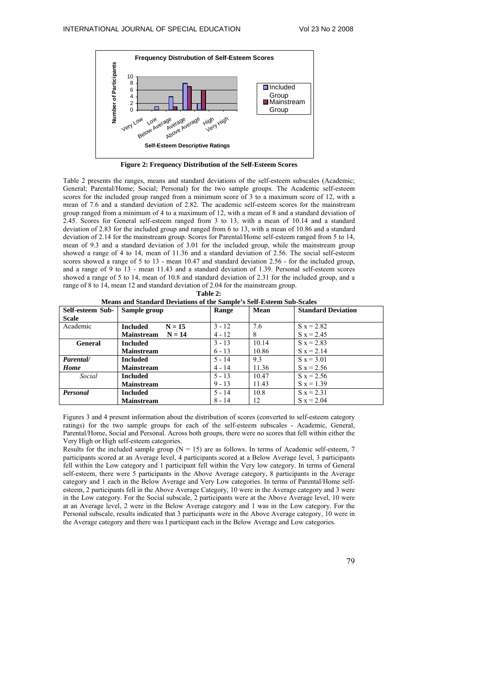

**Figure 2: Frequency Distribution of the Self-Esteem Scores** 

Table 2 presents the ranges, means and standard deviations of the self-esteem subscales (Academic; General; Parental/Home; Social; Personal) for the two sample groups. The Academic self-esteem scores for the included group ranged from a minimum score of 3 to a maximum score of 12, with a mean of 7.6 and a standard deviation of 2.82. The academic self-esteem scores for the mainstream group ranged from a minimum of 4 to a maximum of 12, with a mean of 8 and a standard deviation of 2.45. Scores for General self-esteem ranged from 3 to 13, with a mean of 10.14 and a standard deviation of 2.83 for the included group and ranged from 6 to 13, with a mean of 10.86 and a standard deviation of 2.14 for the mainstream group. Scores for Parental/Home self-esteem ranged from 5 to 14, mean of 9.3 and a standard deviation of 3.01 for the included group, while the mainstream group showed a range of 4 to 14, mean of 11.36 and a standard deviation of 2.56. The social self-esteem scores showed a range of 5 to 13 - mean 10.47 and standard deviation 2.56 - for the included group, and a range of 9 to 13 - mean 11.43 and a standard deviation of 1.39. Personal self-esteem scores showed a range of 5 to 14, mean of 10.8 and standard deviation of 2.31 for the included group, and a range of 8 to 14, mean 12 and standard deviation of 2.04 for the mainstream group.

| Means and Standard Deviations of the Sample's Sen-Esteem Sub-Scales |                               |          |       |                           |
|---------------------------------------------------------------------|-------------------------------|----------|-------|---------------------------|
| Self-esteem Sub-                                                    | Sample group                  | Range    | Mean  | <b>Standard Deviation</b> |
| Scale                                                               |                               |          |       |                           |
| Academic                                                            | $N = 15$<br><b>Included</b>   | $3 - 12$ | 7.6   | $S_{X} = 2.82$            |
|                                                                     | <b>Mainstream</b><br>$N = 14$ | $4 - 12$ | ð     | $S_{X} = 2.45$            |
| General                                                             | <b>Included</b>               | $3 - 13$ | 10.14 | $S_{X} = 2.83$            |
|                                                                     | <b>Mainstream</b>             | $6 - 13$ | 10.86 | $S_{X} = 2.14$            |
| Parental/                                                           | Included                      | $5 - 14$ | 9.3   | $S_{X} = 3.01$            |
| <b>Home</b>                                                         | <b>Mainstream</b>             | $4 - 14$ | 11.36 | $S_{X} = 2.56$            |
| Social                                                              | <b>Included</b>               | $5 - 13$ | 10.47 | $S_{X} = 2.56$            |
|                                                                     | <b>Mainstream</b>             | $9 - 13$ | 11.43 | $S_{X} = 1.39$            |
| <b>Personal</b>                                                     | <b>Included</b>               | $5 - 14$ | 10.8  | $S_{X} = 2.31$            |
|                                                                     | <b>Mainstream</b>             | $8 - 14$ | 12    | $S_{X} = 2.04$            |

**Table 2: Means and Standard Deviations of the Sample's Self-Esteem Sub-Scales**

Figures 3 and 4 present information about the distribution of scores (converted to self-esteem category ratings) for the two sample groups for each of the self-esteem subscales - Academic, General, Parental/Home, Social and Personal. Across both groups, there were no scores that fell within either the Very High or High self-esteem categories.

Results for the included sample group ( $N = 15$ ) are as follows. In terms of Academic self-esteem, 7 participants scored at an Average level, 4 participants scored at a Below Average level, 3 participants fell within the Low category and 1 participant fell within the Very low category. In terms of General self-esteem, there were 5 participants in the Above Average category, 8 participants in the Average category and 1 each in the Below Average and Very Low categories. In terms of Parental/Home selfesteem, 2 participants fell in the Above Average Category, 10 were in the Average category and 3 were in the Low category. For the Social subscale, 2 participants were at the Above Average level, 10 were at an Average level, 2 were in the Below Average category and 1 was in the Low category. For the Personal subscale, results indicated that 3 participants were in the Above Average category, 10 were in the Average category and there was I participant each in the Below Average and Low categories.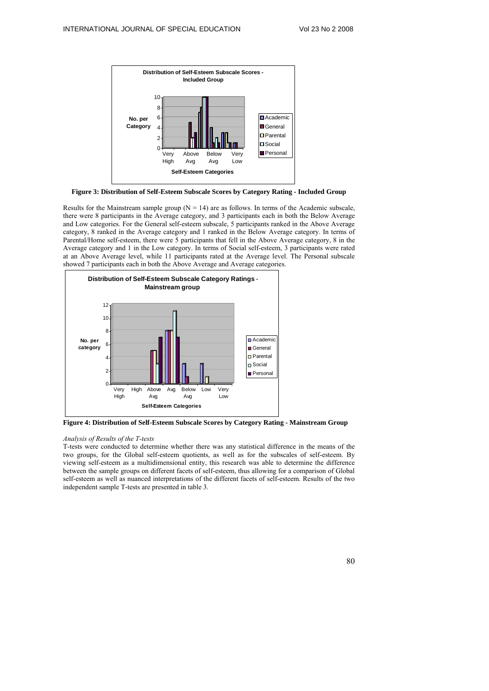

**Figure 3: Distribution of Self-Esteem Subscale Scores by Category Rating - Included Group** 

Results for the Mainstream sample group  $(N = 14)$  are as follows. In terms of the Academic subscale, there were 8 participants in the Average category, and 3 participants each in both the Below Average and Low categories. For the General self-esteem subscale, 5 participants ranked in the Above Average category, 8 ranked in the Average category and 1 ranked in the Below Average category. In terms of Parental/Home self-esteem, there were 5 participants that fell in the Above Average category, 8 in the Average category and 1 in the Low category. In terms of Social self-esteem, 3 participants were rated at an Above Average level, while 11 participants rated at the Average level. The Personal subscale showed 7 participants each in both the Above Average and Average categories.



**Figure 4: Distribution of Self-Esteem Subscale Scores by Category Rating - Mainstream Group** 

### *Analysis of Results of the T-tests*

T-tests were conducted to determine whether there was any statistical difference in the means of the two groups, for the Global self-esteem quotients, as well as for the subscales of self-esteem. By viewing self-esteem as a multidimensional entity, this research was able to determine the difference between the sample groups on different facets of self-esteem, thus allowing for a comparison of Global self-esteem as well as nuanced interpretations of the different facets of self-esteem. Results of the two independent sample T-tests are presented in table 3.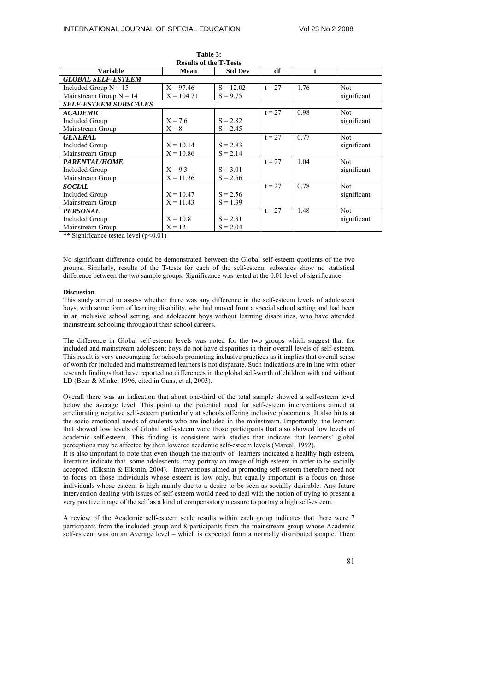| <b>Results of the T-Tests</b>                                                                      |              |                |          |      |             |
|----------------------------------------------------------------------------------------------------|--------------|----------------|----------|------|-------------|
| <b>Variable</b>                                                                                    | Mean         | <b>Std Dev</b> | df       | ŧ    |             |
| <b>GLOBAL SELF-ESTEEM</b>                                                                          |              |                |          |      |             |
| Included Group $N = 15$                                                                            | $X = 97.46$  | $S = 12.02$    | $t = 27$ | 1.76 | Not         |
| Mainstream Group $N = 14$                                                                          | $X = 104.71$ | $S = 9.75$     |          |      | significant |
| <b>SELF-ESTEEM SUBSCALES</b>                                                                       |              |                |          |      |             |
| <b>ACADEMIC</b>                                                                                    |              |                | $t = 27$ | 0.98 | <b>Not</b>  |
| <b>Included Group</b>                                                                              | $X = 7.6$    | $S = 2.82$     |          |      | significant |
| Mainstream Group                                                                                   | $X = 8$      | $S = 2.45$     |          |      |             |
| <b>GENERAL</b>                                                                                     |              |                | $t = 27$ | 0.77 | Not         |
| <b>Included Group</b>                                                                              | $X = 10.14$  | $S = 2.83$     |          |      | significant |
| Mainstream Group                                                                                   | $X = 10.86$  | $S = 2.14$     |          |      |             |
| <b>PARENTAL/HOME</b>                                                                               |              |                | $t = 27$ | 1.04 | Not         |
| <b>Included Group</b>                                                                              | $X = 9.3$    | $S = 3.01$     |          |      | significant |
| Mainstream Group                                                                                   | $X = 11.36$  | $S = 2.56$     |          |      |             |
| <b>SOCIAL</b>                                                                                      |              |                | $t = 27$ | 0.78 | Not         |
| <b>Included Group</b>                                                                              | $X = 10.47$  | $S = 2.56$     |          |      | significant |
| Mainstream Group                                                                                   | $X = 11.43$  | $S = 1.39$     |          |      |             |
| <b>PERSONAL</b>                                                                                    |              |                | $t = 27$ | 1.48 | Not         |
| Included Group                                                                                     | $X = 10.8$   | $S = 2.31$     |          |      | significant |
| Mainstream Group<br>$-1$ $-1$ $-1$ $-1$ $-1$ $-1$<br>$\ldots$ and $\ldots$<br>$\sim$ $\sim$ $\sim$ | $X = 12$     | $S = 2.04$     |          |      |             |

| Table 3: |       |  |
|----------|-------|--|
| . .      | -- -- |  |

\*\* Significance tested level (p<0.01)

No significant difference could be demonstrated between the Global self-esteem quotients of the two groups. Similarly, results of the T-tests for each of the self-esteem subscales show no statistical difference between the two sample groups. Significance was tested at the 0.01 level of significance.

### **Discussion**

This study aimed to assess whether there was any difference in the self-esteem levels of adolescent boys, with some form of learning disability, who had moved from a special school setting and had been in an inclusive school setting, and adolescent boys without learning disabilities, who have attended mainstream schooling throughout their school careers.

The difference in Global self-esteem levels was noted for the two groups which suggest that the included and mainstream adolescent boys do not have disparities in their overall levels of self-esteem. This result is very encouraging for schools promoting inclusive practices as it implies that overall sense of worth for included and mainstreamed learners is not disparate. Such indications are in line with other research findings that have reported no differences in the global self-worth of children with and without LD (Bear & Minke, 1996, cited in Gans, et al, 2003).

Overall there was an indication that about one-third of the total sample showed a self-esteem level below the average level. This point to the potential need for self-esteem interventions aimed at ameliorating negative self-esteem particularly at schools offering inclusive placements. It also hints at the socio-emotional needs of students who are included in the mainstream. Importantly, the learners that showed low levels of Global self-esteem were those participants that also showed low levels of academic self-esteem. This finding is consistent with studies that indicate that learners' global perceptions may be affected by their lowered academic self-esteem levels (Marcal, 1992).

It is also important to note that even though the majority of learners indicated a healthy high esteem, literature indicate that some adolescents may portray an image of high esteem in order to be socially accepted (Elksnin & Elksnin, 2004). Interventions aimed at promoting self-esteem therefore need not to focus on those individuals whose esteem is low only, but equally important is a focus on those individuals whose esteem is high mainly due to a desire to be seen as socially desirable. Any future intervention dealing with issues of self-esteem would need to deal with the notion of trying to present a very positive image of the self as a kind of compensatory measure to portray a high self-esteem.

A review of the Academic self-esteem scale results within each group indicates that there were 7 participants from the included group and 8 participants from the mainstream group whose Academic self-esteem was on an Average level – which is expected from a normally distributed sample. There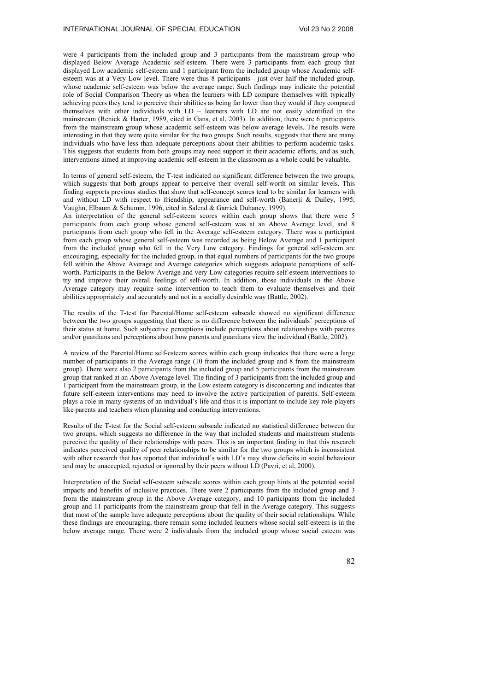were 4 participants from the included group and 3 participants from the mainstream group who displayed Below Average Academic self-esteem. There were 3 participants from each group that displayed Low academic self-esteem and 1 participant from the included group whose Academic selfesteem was at a Very Low level. There were thus 8 participants - just over half the included group, whose academic self-esteem was below the average range. Such findings may indicate the potential role of Social Comparison Theory as when the learners with LD compare themselves with typically achieving peers they tend to perceive their abilities as being far lower than they would if they compared themselves with other individuals with LD – learners with LD are not easily identified in the mainstream (Renick & Harter, 1989, cited in Gans, et al, 2003). In addition, there were 6 participants from the mainstream group whose academic self-esteem was below average levels. The results were interesting in that they were quite similar for the two groups. Such results, suggests that there are many individuals who have less than adequate perceptions about their abilities to perform academic tasks. This suggests that students from both groups may need support in their academic efforts, and as such, interventions aimed at improving academic self-esteem in the classroom as a whole could be valuable.

In terms of general self-esteem, the T-test indicated no significant difference between the two groups, which suggests that both groups appear to perceive their overall self-worth on similar levels. This finding supports previous studies that show that self-concept scores tend to be similar for learners with and without LD with respect to friendship, appearance and self-worth (Banerji & Dailey, 1995; Vaughn, Elbaum & Schumm, 1996, cited in Salend & Garrick Duhaney, 1999).

An interpretation of the general self-esteem scores within each group shows that there were 5 participants from each group whose general self-esteem was at an Above Average level, and 8 participants from each group who fell in the Average self-esteem category. There was a participant from each group whose general self-esteem was recorded as being Below Average and 1 participant from the included group who fell in the Very Low category. Findings for general self-esteem are encouraging, especially for the included group, in that equal numbers of participants for the two groups fell within the Above Average and Average categories which suggests adequate perceptions of selfworth. Participants in the Below Average and very Low categories require self-esteem interventions to try and improve their overall feelings of self-worth. In addition, those individuals in the Above Average category may require some intervention to teach them to evaluate themselves and their abilities appropriately and accurately and not in a socially desirable way (Battle, 2002).

The results of the T-test for Parental/Home self-esteem subscale showed no significant difference between the two groups suggesting that there is no difference between the individuals' perceptions of their status at home. Such subjective perceptions include perceptions about relationships with parents and/or guardians and perceptions about how parents and guardians view the individual (Battle, 2002).

A review of the Parental/Home self-esteem scores within each group indicates that there were a large number of participants in the Average range (10 from the included group and 8 from the mainstream group). There were also 2 participants from the included group and 5 participants from the mainstream group that ranked at an Above Average level. The finding of 3 participants from the included group and 1 participant from the mainstream group, in the Low esteem category is disconcerting and indicates that future self-esteem interventions may need to involve the active participation of parents. Self-esteem plays a role in many systems of an individual's life and thus it is important to include key role-players like parents and teachers when planning and conducting interventions.

Results of the T-test for the Social self-esteem subscale indicated no statistical difference between the two groups, which suggests no difference in the way that included students and mainstream students perceive the quality of their relationships with peers. This is an important finding in that this research indicates perceived quality of peer relationships to be similar for the two groups which is inconsistent with other research that has reported that individual's with LD's may show deficits in social behaviour and may be unaccepted, rejected or ignored by their peers without LD (Pavri, et al, 2000).

Interpretation of the Social self-esteem subscale scores within each group hints at the potential social impacts and benefits of inclusive practices. There were 2 participants from the included group and 3 from the mainstream group in the Above Average category, and 10 participants from the included group and 11 participants from the mainstream group that fell in the Average category. This suggests that most of the sample have adequate perceptions about the quality of their social relationships. While these findings are encouraging, there remain some included learners whose social self-esteem is in the below average range. There were 2 individuals from the included group whose social esteem was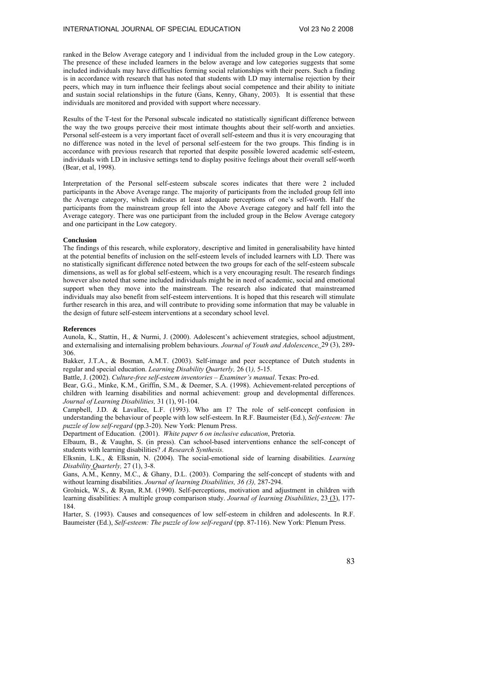ranked in the Below Average category and 1 individual from the included group in the Low category. The presence of these included learners in the below average and low categories suggests that some included individuals may have difficulties forming social relationships with their peers. Such a finding is in accordance with research that has noted that students with LD may internalise rejection by their peers, which may in turn influence their feelings about social competence and their ability to initiate and sustain social relationships in the future (Gans, Kenny, Ghany, 2003). It is essential that these individuals are monitored and provided with support where necessary.

Results of the T-test for the Personal subscale indicated no statistically significant difference between the way the two groups perceive their most intimate thoughts about their self-worth and anxieties. Personal self-esteem is a very important facet of overall self-esteem and thus it is very encouraging that no difference was noted in the level of personal self-esteem for the two groups. This finding is in accordance with previous research that reported that despite possible lowered academic self-esteem, individuals with LD in inclusive settings tend to display positive feelings about their overall self-worth (Bear, et al, 1998).

Interpretation of the Personal self-esteem subscale scores indicates that there were 2 included participants in the Above Average range. The majority of participants from the included group fell into the Average category, which indicates at least adequate perceptions of one's self-worth. Half the participants from the mainstream group fell into the Above Average category and half fell into the Average category. There was one participant from the included group in the Below Average category and one participant in the Low category.

### **Conclusion**

The findings of this research, while exploratory, descriptive and limited in generalisability have hinted at the potential benefits of inclusion on the self-esteem levels of included learners with LD. There was no statistically significant difference noted between the two groups for each of the self-esteem subscale dimensions, as well as for global self-esteem, which is a very encouraging result. The research findings however also noted that some included individuals might be in need of academic, social and emotional support when they move into the mainstream. The research also indicated that mainstreamed individuals may also benefit from self-esteem interventions. It is hoped that this research will stimulate further research in this area, and will contribute to providing some information that may be valuable in the design of future self-esteem interventions at a secondary school level.

#### **References**

Aunola, K., Stattin, H., & Nurmi, J. (2000). Adolescent's achievement strategies, school adjustment, and externalising and internalising problem behaviours. *Journal of Youth and Adolescence,* 29 (3), 289- 306.

Bakker, J.T.A., & Bosman, A.M.T. (2003). Self-image and peer acceptance of Dutch students in regular and special education. *Learning Disability Quarterly,* 26 (1*),* 5-15.

Battle, J. (2002). *Culture-free self-esteem inventories – Examiner's manual*. Texas: Pro-ed.

Bear, G.G., Minke, K.M., Griffin, S.M., & Deemer, S.A. (1998). Achievement-related perceptions of children with learning disabilities and normal achievement: group and developmental differences. *Journal of Learning Disabilities,* 31 (1), 91-104.

Campbell, J.D. & Lavallee, L.F. (1993). Who am I? The role of self-concept confusion in understanding the behaviour of people with low self-esteem. In R.F. Baumeister (Ed.), *Self-esteem: The puzzle of low self-regard* (pp.3-20). New York: Plenum Press.

Department of Education. (2001). *White paper 6 on inclusive education*, Pretoria.

Elbaum, B., & Vaughn, S. (in press). Can school-based interventions enhance the self-concept of students with learning disabilities? *A Research Synthesis.*

Elksnin, L.K., & Elksnin, N. (2004). The social-emotional side of learning disabilities. *Learning Disability Quarterly,* 27 (1), 3-8.

Gans, A.M., Kenny, M.C., & Ghany, D.L. (2003). Comparing the self-concept of students with and without learning disabilities. *Journal of learning Disabilities, 36 (3),* 287-294.

Grolnick, W.S., & Ryan, R.M. (1990). Self-perceptions, motivation and adjustment in children with learning disabilities: A multiple group comparison study. *Journal of learning Disabilities*, 23 (3), 177- 184.

Harter, S. (1993). Causes and consequences of low self-esteem in children and adolescents. In R.F. Baumeister (Ed.), *Self-esteem: The puzzle of low self-regard* (pp. 87-116). New York: Plenum Press.